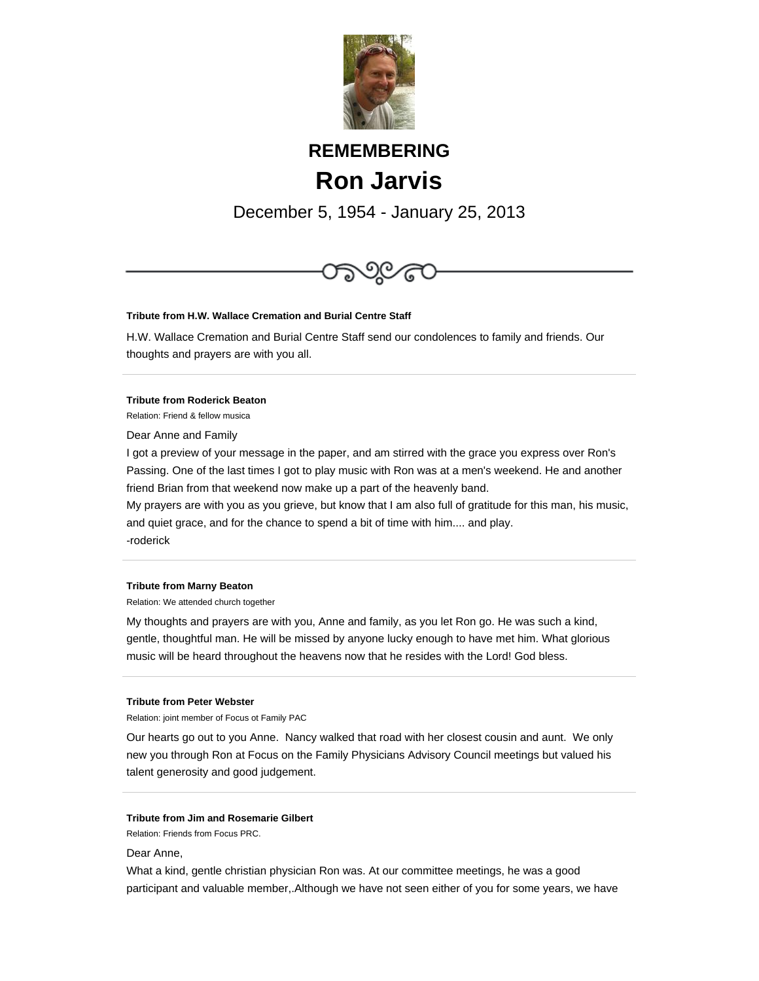

# **REMEMBERING Ron Jarvis**

December 5, 1954 - January 25, 2013



## **Tribute from H.W. Wallace Cremation and Burial Centre Staff**

H.W. Wallace Cremation and Burial Centre Staff send our condolences to family and friends. Our thoughts and prayers are with you all.

## **Tribute from Roderick Beaton**

Relation: Friend & fellow musica

Dear Anne and Family

I got a preview of your message in the paper, and am stirred with the grace you express over Ron's Passing. One of the last times I got to play music with Ron was at a men's weekend. He and another friend Brian from that weekend now make up a part of the heavenly band.

My prayers are with you as you grieve, but know that I am also full of gratitude for this man, his music, and quiet grace, and for the chance to spend a bit of time with him.... and play. -roderick

## **Tribute from Marny Beaton**

Relation: We attended church together

My thoughts and prayers are with you, Anne and family, as you let Ron go. He was such a kind, gentle, thoughtful man. He will be missed by anyone lucky enough to have met him. What glorious music will be heard throughout the heavens now that he resides with the Lord! God bless.

#### **Tribute from Peter Webster**

Relation: joint member of Focus ot Family PAC

Our hearts go out to you Anne. Nancy walked that road with her closest cousin and aunt. We only new you through Ron at Focus on the Family Physicians Advisory Council meetings but valued his talent generosity and good judgement.

## **Tribute from Jim and Rosemarie Gilbert**

Relation: Friends from Focus PRC.

Dear Anne,

What a kind, gentle christian physician Ron was. At our committee meetings, he was a good participant and valuable member,.Although we have not seen either of you for some years, we have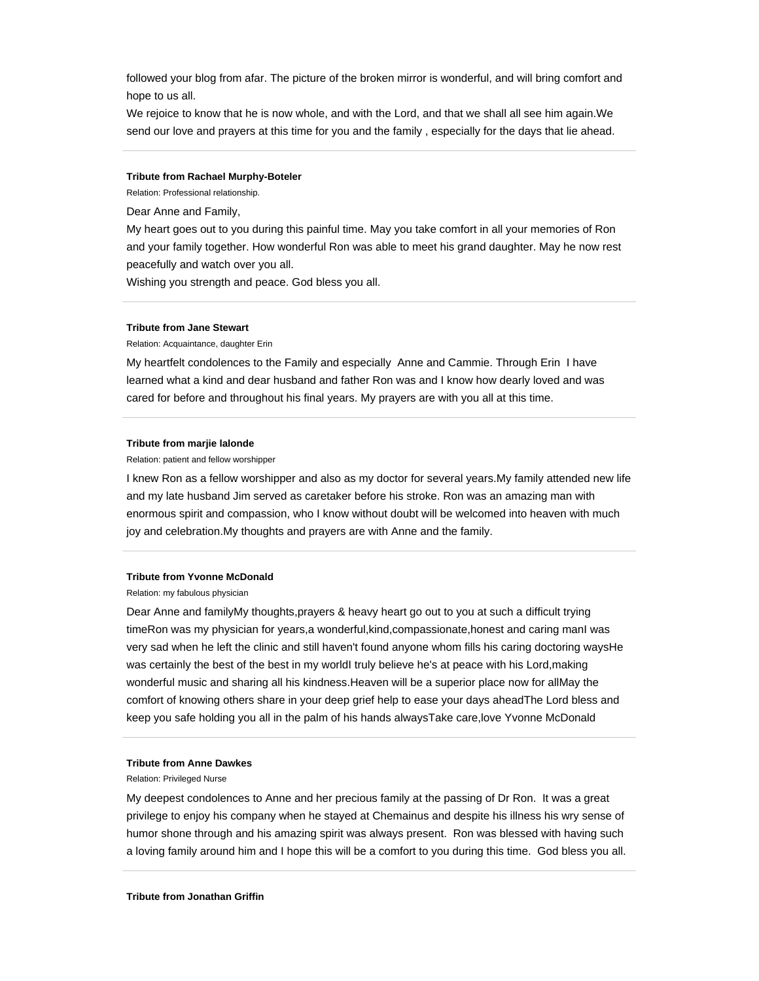followed your blog from afar. The picture of the broken mirror is wonderful, and will bring comfort and hope to us all.

We rejoice to know that he is now whole, and with the Lord, and that we shall all see him again.We send our love and prayers at this time for you and the family , especially for the days that lie ahead.

## **Tribute from Rachael Murphy-Boteler**

Relation: Professional relationship.

Dear Anne and Family,

My heart goes out to you during this painful time. May you take comfort in all your memories of Ron and your family together. How wonderful Ron was able to meet his grand daughter. May he now rest peacefully and watch over you all.

Wishing you strength and peace. God bless you all.

### **Tribute from Jane Stewart**

Relation: Acquaintance, daughter Erin

My heartfelt condolences to the Family and especially Anne and Cammie. Through Erin I have learned what a kind and dear husband and father Ron was and I know how dearly loved and was cared for before and throughout his final years. My prayers are with you all at this time.

#### **Tribute from marjie lalonde**

Relation: patient and fellow worshipper

I knew Ron as a fellow worshipper and also as my doctor for several years.My family attended new life and my late husband Jim served as caretaker before his stroke. Ron was an amazing man with enormous spirit and compassion, who I know without doubt will be welcomed into heaven with much joy and celebration.My thoughts and prayers are with Anne and the family.

## **Tribute from Yvonne McDonald**

Relation: my fabulous physician

Dear Anne and familyMy thoughts,prayers & heavy heart go out to you at such a difficult trying timeRon was my physician for years,a wonderful,kind,compassionate,honest and caring manI was very sad when he left the clinic and still haven't found anyone whom fills his caring doctoring waysHe was certainly the best of the best in my worldI truly believe he's at peace with his Lord, making wonderful music and sharing all his kindness.Heaven will be a superior place now for allMay the comfort of knowing others share in your deep grief help to ease your days aheadThe Lord bless and keep you safe holding you all in the palm of his hands alwaysTake care,love Yvonne McDonald

#### **Tribute from Anne Dawkes**

Relation: Privileged Nurse

My deepest condolences to Anne and her precious family at the passing of Dr Ron. It was a great privilege to enjoy his company when he stayed at Chemainus and despite his illness his wry sense of humor shone through and his amazing spirit was always present. Ron was blessed with having such a loving family around him and I hope this will be a comfort to you during this time. God bless you all.